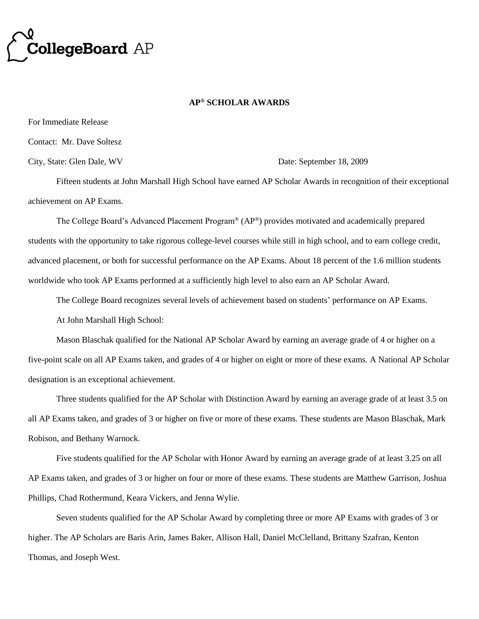

## **AP® SCHOLAR AWARDS**

For Immediate Release

Contact: Mr. Dave Soltesz

City, State: Glen Dale, WV Date: September 18, 2009

Fifteen students at John Marshall High School have earned AP Scholar Awards in recognition of their exceptional achievement on AP Exams.

The College Board's Advanced Placement Program® (AP®) provides motivated and academically prepared students with the opportunity to take rigorous college-level courses while still in high school, and to earn college credit, advanced placement, or both for successful performance on the AP Exams. About 18 percent of the 1.6 million students worldwide who took AP Exams performed at a sufficiently high level to also earn an AP Scholar Award.

The College Board recognizes several levels of achievement based on students' performance on AP Exams.

At John Marshall High School:

Mason Blaschak qualified for the National AP Scholar Award by earning an average grade of 4 or higher on a five-point scale on all AP Exams taken, and grades of 4 or higher on eight or more of these exams. A National AP Scholar designation is an exceptional achievement.

Three students qualified for the AP Scholar with Distinction Award by earning an average grade of at least 3.5 on all AP Exams taken, and grades of 3 or higher on five or more of these exams. These students are Mason Blaschak, Mark Robison, and Bethany Warnock.

Five students qualified for the AP Scholar with Honor Award by earning an average grade of at least 3.25 on all AP Exams taken, and grades of 3 or higher on four or more of these exams. These students are Matthew Garrison, Joshua Phillips, Chad Rothermund, Keara Vickers, and Jenna Wylie.

Seven students qualified for the AP Scholar Award by completing three or more AP Exams with grades of 3 or higher. The AP Scholars are Baris Arin, James Baker, Allison Hall, Daniel McClelland, Brittany Szafran, Kenton Thomas, and Joseph West.